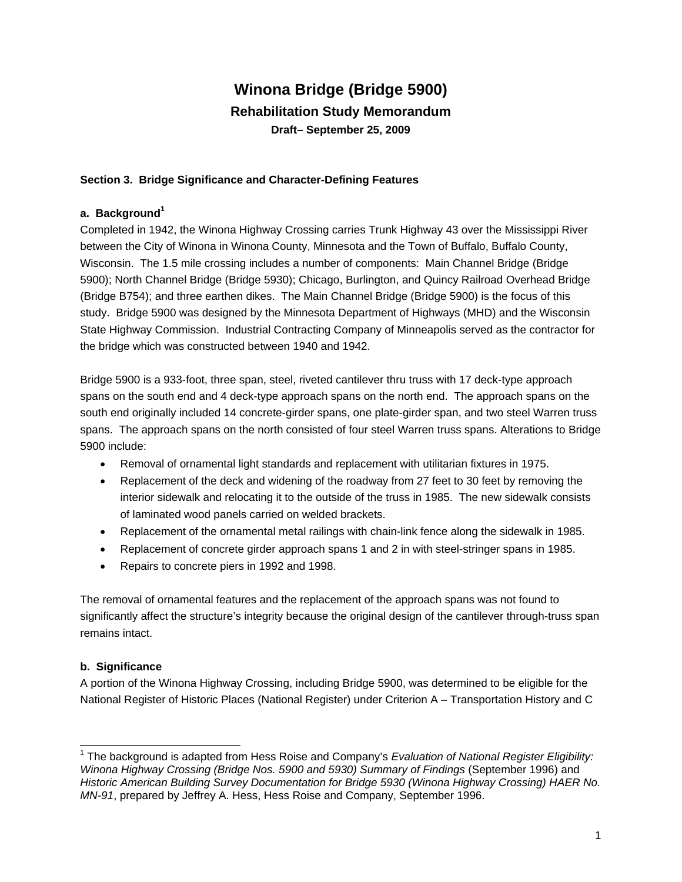# **Winona Bridge (Bridge 5900) Rehabilitation Study Memorandum Draft– September 25, 2009**

### **Section 3. Bridge Significance and Character-Defining Features**

#### **a. Background<sup>1</sup>**

Completed in 1942, the Winona Highway Crossing carries Trunk Highway 43 over the Mississippi River between the City of Winona in Winona County, Minnesota and the Town of Buffalo, Buffalo County, Wisconsin. The 1.5 mile crossing includes a number of components: Main Channel Bridge (Bridge 5900); North Channel Bridge (Bridge 5930); Chicago, Burlington, and Quincy Railroad Overhead Bridge (Bridge B754); and three earthen dikes. The Main Channel Bridge (Bridge 5900) is the focus of this study. Bridge 5900 was designed by the Minnesota Department of Highways (MHD) and the Wisconsin State Highway Commission. Industrial Contracting Company of Minneapolis served as the contractor for the bridge which was constructed between 1940 and 1942.

Bridge 5900 is a 933-foot, three span, steel, riveted cantilever thru truss with 17 deck-type approach spans on the south end and 4 deck-type approach spans on the north end. The approach spans on the south end originally included 14 concrete-girder spans, one plate-girder span, and two steel Warren truss spans. The approach spans on the north consisted of four steel Warren truss spans. Alterations to Bridge 5900 include:

- Removal of ornamental light standards and replacement with utilitarian fixtures in 1975.
- Replacement of the deck and widening of the roadway from 27 feet to 30 feet by removing the interior sidewalk and relocating it to the outside of the truss in 1985. The new sidewalk consists of laminated wood panels carried on welded brackets.
- Replacement of the ornamental metal railings with chain-link fence along the sidewalk in 1985.
- Replacement of concrete girder approach spans 1 and 2 in with steel-stringer spans in 1985.
- Repairs to concrete piers in 1992 and 1998.

The removal of ornamental features and the replacement of the approach spans was not found to significantly affect the structure's integrity because the original design of the cantilever through-truss span remains intact.

#### **b. Significance**

1

A portion of the Winona Highway Crossing, including Bridge 5900, was determined to be eligible for the National Register of Historic Places (National Register) under Criterion A – Transportation History and C

<sup>&</sup>lt;sup>1</sup> The background is adapted from Hess Roise and Company's *Evaluation of National Register Eligibility: Winona Highway Crossing (Bridge Nos. 5900 and 5930) Summary of Findings* (September 1996) and *Historic American Building Survey Documentation for Bridge 5930 (Winona Highway Crossing) HAER No. MN-91*, prepared by Jeffrey A. Hess, Hess Roise and Company, September 1996.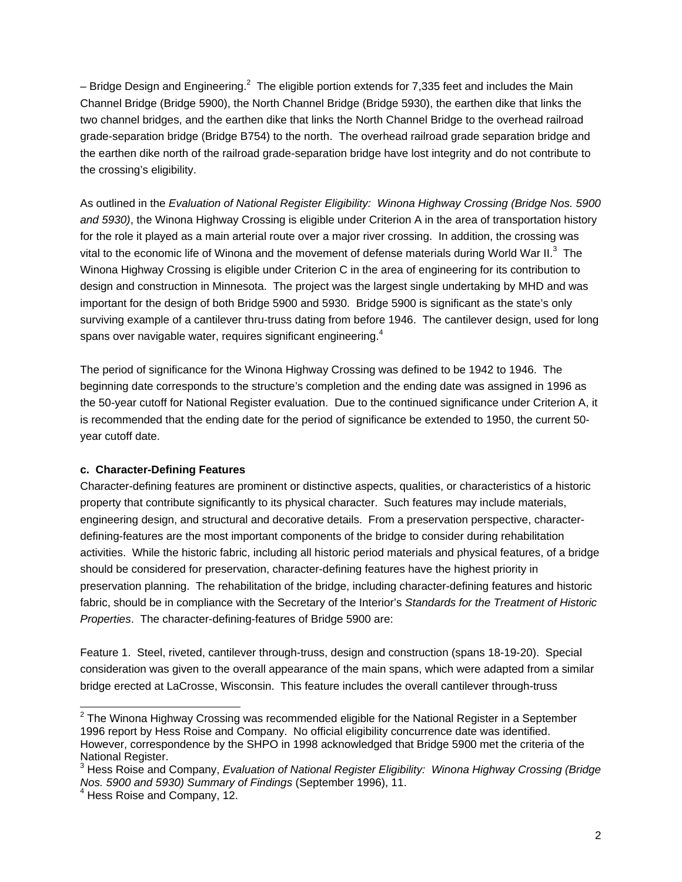– Bridge Design and Engineering.<sup>2</sup> The eligible portion extends for 7,335 feet and includes the Main Channel Bridge (Bridge 5900), the North Channel Bridge (Bridge 5930), the earthen dike that links the two channel bridges, and the earthen dike that links the North Channel Bridge to the overhead railroad grade-separation bridge (Bridge B754) to the north. The overhead railroad grade separation bridge and the earthen dike north of the railroad grade-separation bridge have lost integrity and do not contribute to the crossing's eligibility.

As outlined in the *Evaluation of National Register Eligibility: Winona Highway Crossing (Bridge Nos. 5900 and 5930)*, the Winona Highway Crossing is eligible under Criterion A in the area of transportation history for the role it played as a main arterial route over a major river crossing. In addition, the crossing was vital to the economic life of Winona and the movement of defense materials during World War II.<sup>3</sup> The Winona Highway Crossing is eligible under Criterion C in the area of engineering for its contribution to design and construction in Minnesota. The project was the largest single undertaking by MHD and was important for the design of both Bridge 5900 and 5930. Bridge 5900 is significant as the state's only surviving example of a cantilever thru-truss dating from before 1946. The cantilever design, used for long spans over navigable water, requires significant engineering.<sup>4</sup>

The period of significance for the Winona Highway Crossing was defined to be 1942 to 1946. The beginning date corresponds to the structure's completion and the ending date was assigned in 1996 as the 50-year cutoff for National Register evaluation. Due to the continued significance under Criterion A, it is recommended that the ending date for the period of significance be extended to 1950, the current 50 year cutoff date.

#### **c. Character-Defining Features**

Character-defining features are prominent or distinctive aspects, qualities, or characteristics of a historic property that contribute significantly to its physical character. Such features may include materials, engineering design, and structural and decorative details. From a preservation perspective, characterdefining-features are the most important components of the bridge to consider during rehabilitation activities. While the historic fabric, including all historic period materials and physical features, of a bridge should be considered for preservation, character-defining features have the highest priority in preservation planning. The rehabilitation of the bridge, including character-defining features and historic fabric, should be in compliance with the Secretary of the Interior's *Standards for the Treatment of Historic Properties*. The character-defining-features of Bridge 5900 are:

Feature 1. Steel, riveted, cantilever through-truss, design and construction (spans 18-19-20). Special consideration was given to the overall appearance of the main spans, which were adapted from a similar bridge erected at LaCrosse, Wisconsin. This feature includes the overall cantilever through-truss

\_\_\_\_\_\_\_\_\_\_\_\_\_\_\_\_\_\_\_\_\_\_\_\_\_\_\_\_\_\_\_\_\_\_\_\_<br><sup>2</sup> The Winona Highway Crossing was recommended eligible for the National Register in a September\_ 1996 report by Hess Roise and Company. No official eligibility concurrence date was identified. However, correspondence by the SHPO in 1998 acknowledged that Bridge 5900 met the criteria of the National Register.

<sup>3</sup> Hess Roise and Company, *Evaluation of National Register Eligibility: Winona Highway Crossing (Bridge Nos. 5900 and 5930) Summary of Findings* (September 1996), 11.<br><sup>4</sup> Hess Roise and Company, 12.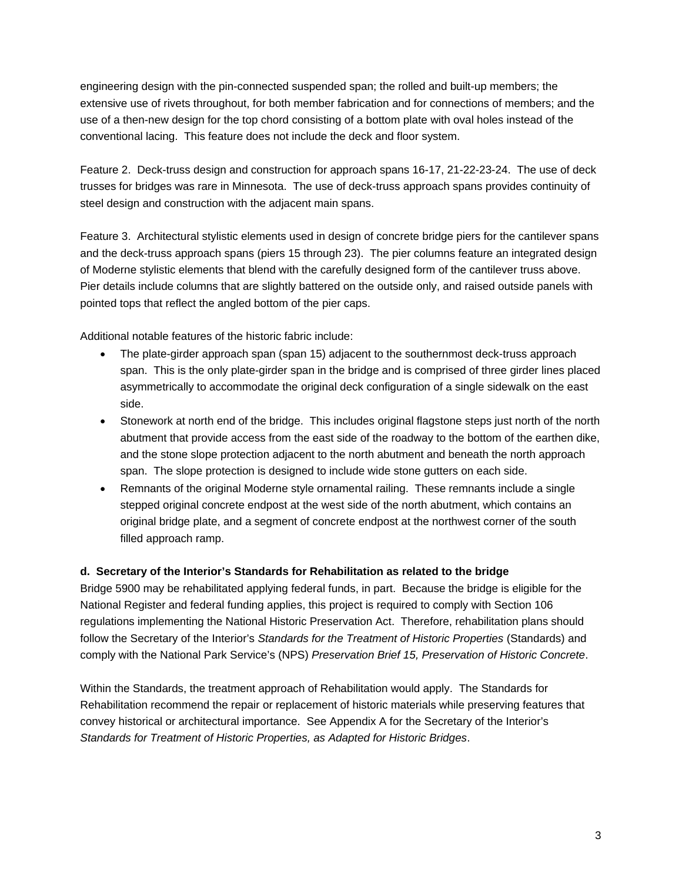engineering design with the pin-connected suspended span; the rolled and built-up members; the extensive use of rivets throughout, for both member fabrication and for connections of members; and the use of a then-new design for the top chord consisting of a bottom plate with oval holes instead of the conventional lacing. This feature does not include the deck and floor system.

Feature 2. Deck-truss design and construction for approach spans 16-17, 21-22-23-24. The use of deck trusses for bridges was rare in Minnesota. The use of deck-truss approach spans provides continuity of steel design and construction with the adjacent main spans.

Feature 3. Architectural stylistic elements used in design of concrete bridge piers for the cantilever spans and the deck-truss approach spans (piers 15 through 23). The pier columns feature an integrated design of Moderne stylistic elements that blend with the carefully designed form of the cantilever truss above. Pier details include columns that are slightly battered on the outside only, and raised outside panels with pointed tops that reflect the angled bottom of the pier caps.

Additional notable features of the historic fabric include:

- The plate-girder approach span (span 15) adjacent to the southernmost deck-truss approach span. This is the only plate-girder span in the bridge and is comprised of three girder lines placed asymmetrically to accommodate the original deck configuration of a single sidewalk on the east side.
- Stonework at north end of the bridge. This includes original flagstone steps just north of the north abutment that provide access from the east side of the roadway to the bottom of the earthen dike, and the stone slope protection adjacent to the north abutment and beneath the north approach span. The slope protection is designed to include wide stone gutters on each side.
- Remnants of the original Moderne style ornamental railing. These remnants include a single stepped original concrete endpost at the west side of the north abutment, which contains an original bridge plate, and a segment of concrete endpost at the northwest corner of the south filled approach ramp.

## **d. Secretary of the Interior's Standards for Rehabilitation as related to the bridge**

Bridge 5900 may be rehabilitated applying federal funds, in part. Because the bridge is eligible for the National Register and federal funding applies, this project is required to comply with Section 106 regulations implementing the National Historic Preservation Act. Therefore, rehabilitation plans should follow the Secretary of the Interior's *Standards for the Treatment of Historic Properties* (Standards) and comply with the National Park Service's (NPS) *Preservation Brief 15, Preservation of Historic Concrete*.

Within the Standards, the treatment approach of Rehabilitation would apply. The Standards for Rehabilitation recommend the repair or replacement of historic materials while preserving features that convey historical or architectural importance. See Appendix A for the Secretary of the Interior's *Standards for Treatment of Historic Properties, as Adapted for Historic Bridges*.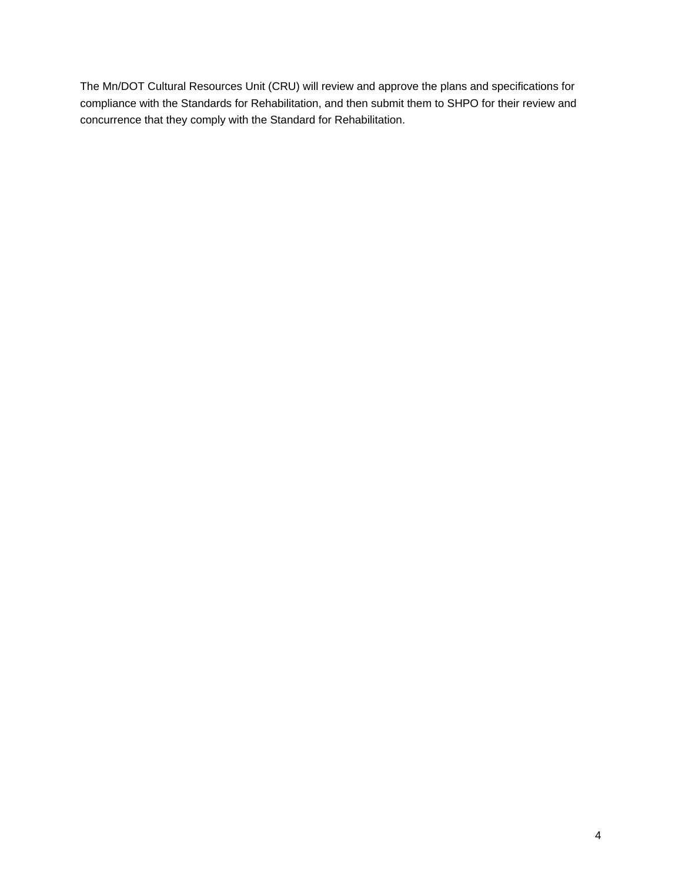The Mn/DOT Cultural Resources Unit (CRU) will review and approve the plans and specifications for compliance with the Standards for Rehabilitation, and then submit them to SHPO for their review and concurrence that they comply with the Standard for Rehabilitation.